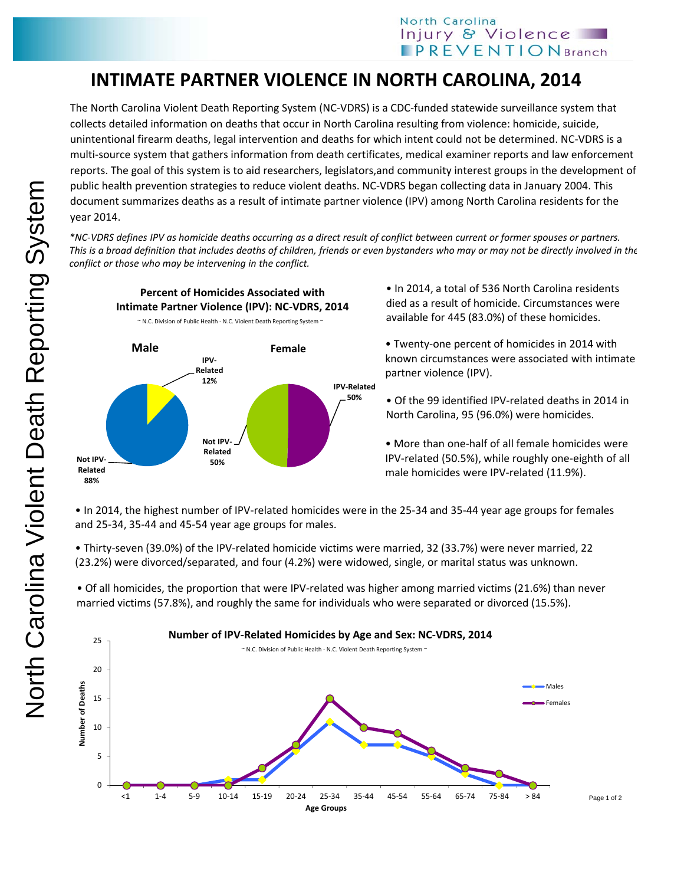## **INTIMATE PARTNER VIOLENCE IN NORTH CAROLINA, 2014**

The North Carolina Violent Death Reporting System (NC‐VDRS) is a CDC‐funded statewide surveillance system that collects detailed information on deaths that occur in North Carolina resulting from violence: homicide, suicide, unintentional firearm deaths, legal intervention and deaths for which intent could not be determined. NC‐VDRS is a multi‐source system that gathers information from death certificates, medical examiner reports and law enforcement reports. The goal of this system is to aid researchers, legislators,and community interest groups in the development of public health prevention strategies to reduce violent deaths. NC‐VDRS began collecting data in January 2004. This document summarizes deaths as a result of intimate partner violence (IPV) among North Carolina residents for the year 2014.

\*NC-VDRS defines IPV as homicide deaths occurring as a direct result of conflict between current or former spouses or partners. This is a broad definition that includes deaths of children, friends or even bystanders who may or may not be directly involved in the *conflict or those who may be intervening in the conflict.*



• In 2014, a total of 536 North Carolina residents died as a result of homicide. Circumstances were available for 445 (83.0%) of these homicides.

• Twenty‐one percent of homicides in 2014 with known circumstances were associated with intimate partner violence (IPV).

• Of the 99 identified IPV‐related deaths in 2014 in North Carolina, 95 (96.0%) were homicides.

• More than one‐half of all female homicides were IPV-related (50.5%), while roughly one-eighth of all male homicides were IPV‐related (11.9%).

• In 2014, the highest number of IPV‐related homicides were in the 25‐34 and 35‐44 year age groups for females and 25‐34, 35‐44 and 45‐54 year age groups for males.

• Thirty‐seven (39.0%) of the IPV‐related homicide victims were married, 32 (33.7%) were never married, 22 (23.2%) were divorced/separated, and four (4.2%) were widowed, single, or marital status was unknown.

• Of all homicides, the proportion that were IPV‐related was higher among married victims (21.6%) than never married victims (57.8%), and roughly the same for individuals who were separated or divorced (15.5%).



**Related 88%**